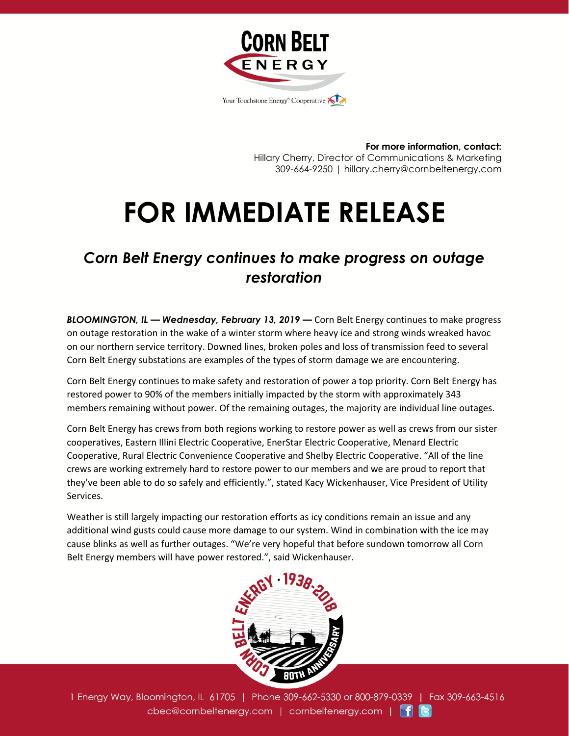

**For more information, contact:** Hillary Cherry, Director of Communications & Marketing 309-664-9250 | hillary.cherry@cornbeltenergy.com

## **FOR IMMEDIATE RELEASE**

## *Corn Belt Energy continues to make progress on outage restoration*

*BLOOMINGTON, IL — Wednesday, February 13, 2019 —* Corn Belt Energy continues to make progress on outage restoration in the wake of a winter storm where heavy ice and strong winds wreaked havoc on our northern service territory. Downed lines, broken poles and loss of transmission feed to several Corn Belt Energy substations are examples of the types of storm damage we are encountering.

Corn Belt Energy continues to make safety and restoration of power a top priority. Corn Belt Energy has restored power to 90% of the members initially impacted by the storm with approximately 343 members remaining without power. Of the remaining outages, the majority are individual line outages.

Corn Belt Energy has crews from both regions working to restore power as well as crews from our sister cooperatives, Eastern Illini Electric Cooperative, EnerStar Electric Cooperative, Menard Electric Cooperative, Rural Electric Convenience Cooperative and Shelby Electric Cooperative. "All of the line crews are working extremely hard to restore power to our members and we are proud to report that they've been able to do so safely and efficiently.", stated Kacy Wickenhauser, Vice President of Utility Services.

Weather is still largely impacting our restoration efforts as icy conditions remain an issue and any additional wind gusts could cause more damage to our system. Wind in combination with the ice may cause blinks as well as further outages. "We're very hopeful that before sundown tomorrow all Corn Belt Energy members will have power restored.", said Wickenhauser.



1 Energy Way, Bloomington, IL 61705 | Phone 309-662-5330 or 800-879-0339 | Fax 309-663-4516 cbec@cornbeltenergy.com | cornbeltenergy.com | f